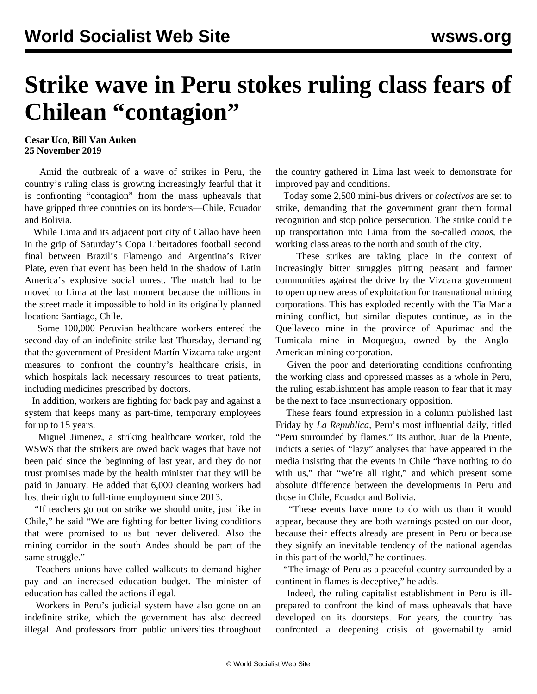## **Strike wave in Peru stokes ruling class fears of Chilean "contagion"**

## **Cesar Uco, Bill Van Auken 25 November 2019**

 Amid the outbreak of a wave of strikes in Peru, the country's ruling class is growing increasingly fearful that it is confronting "contagion" from the mass upheavals that have gripped three countries on its borders—Chile, Ecuador and Bolivia.

 While Lima and its adjacent port city of Callao have been in the grip of Saturday's Copa Libertadores football second final between Brazil's Flamengo and Argentina's River Plate, even that event has been held in the shadow of Latin America's explosive social unrest. The match had to be moved to Lima at the last moment because the millions in the street made it impossible to hold in its originally planned location: Santiago, Chile.

 Some 100,000 Peruvian healthcare workers entered the second day of an indefinite strike last Thursday, demanding that the government of President Martín Vizcarra take urgent measures to confront the country's healthcare crisis, in which hospitals lack necessary resources to treat patients, including medicines prescribed by doctors.

 In addition, workers are fighting for back pay and against a system that keeps many as part-time, temporary employees for up to 15 years.

 Miguel Jimenez, a striking healthcare worker, told the WSWS that the strikers are owed back wages that have not been paid since the beginning of last year, and they do not trust promises made by the health minister that they will be paid in January. He added that 6,000 cleaning workers had lost their right to full-time employment since 2013.

 "If teachers go out on strike we should unite, just like in Chile," he said "We are fighting for better living conditions that were promised to us but never delivered. Also the mining corridor in the south Andes should be part of the same struggle."

 Teachers unions have called walkouts to demand higher pay and an increased education budget. The minister of education has called the actions illegal.

 Workers in Peru's judicial system have also gone on an indefinite strike, which the government has also decreed illegal. And professors from public universities throughout the country gathered in Lima last week to demonstrate for improved pay and conditions.

 Today some 2,500 mini-bus drivers or *colectivos* are set to strike, demanding that the government grant them formal recognition and stop police persecution. The strike could tie up transportation into Lima from the so-called *conos*, the working class areas to the north and south of the city.

 These strikes are taking place in the context of increasingly bitter struggles pitting peasant and farmer communities against the drive by the Vizcarra government to open up new areas of exploitation for transnational mining corporations. This has exploded recently with the Tia Maria mining conflict, but similar disputes continue, as in the Quellaveco mine in the province of Apurimac and the Tumicala mine in Moquegua, owned by the Anglo-American mining corporation.

 Given the poor and deteriorating conditions confronting the working class and oppressed masses as a whole in Peru, the ruling establishment has ample reason to fear that it may be the next to face insurrectionary opposition.

 These fears found expression in a column published last Friday by *La Republica*, Peru's most influential daily, titled "Peru surrounded by flames." Its author, Juan de la Puente, indicts a series of "lazy" analyses that have appeared in the media insisting that the events in Chile "have nothing to do with us," that "we're all right," and which present some absolute difference between the developments in Peru and those in Chile, Ecuador and Bolivia.

 "These events have more to do with us than it would appear, because they are both warnings posted on our door, because their effects already are present in Peru or because they signify an inevitable tendency of the national agendas in this part of the world," he continues.

 "The image of Peru as a peaceful country surrounded by a continent in flames is deceptive," he adds.

 Indeed, the ruling capitalist establishment in Peru is illprepared to confront the kind of mass upheavals that have developed on its doorsteps. For years, the country has confronted a deepening crisis of governability amid